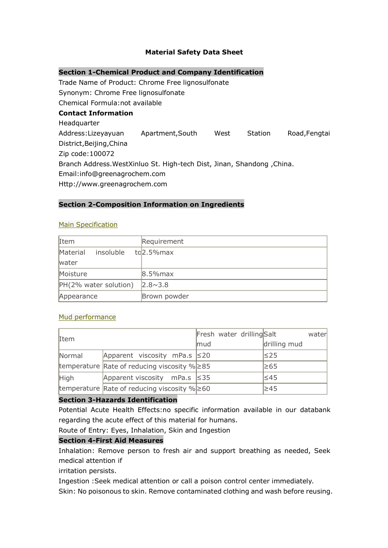# **Material Safety Data Sheet**

# **Section 1-Chemical Product and Company Identification**

Trade Name of Product: Chrome Free lignosulfonate Synonym: Chrome Free lignosulfonate Chemical Formula:not available **Contact Information Headquarter** Address:Lizeyayuan Apartment,South West Station Road,Fengtai District,Beijing,China Zip code:100072 Branch Address.WestXinluo St. High-tech Dist, Jinan, Shandong ,China. Email:info@greenagrochem.com Http://www.greenagrochem.com

### **Section 2-Composition Information on Ingredients**

#### Main Specification

| Item                  | Requirement            |  |
|-----------------------|------------------------|--|
| Material<br>insoluble | to <sub>2.5%</sub> max |  |
| water                 |                        |  |
| Moisture              | $8.5%$ max             |  |
| PH(2% water solution) | $2.8 \times 3.8$       |  |
| Appearance            | Brown powder           |  |

# Mud performance

| Item   |                                                       | Fresh water drilling Salt | water        |
|--------|-------------------------------------------------------|---------------------------|--------------|
|        |                                                       | mud                       | drilling mud |
| Normal | Apparent viscosity mPa.s $\leq 20$                    |                           | l≤25         |
|        | temperature Rate of reducing viscosity $\%$ $\geq$ 85 |                           | ≥65          |
| High   | Apparent viscosity mPa.s $\leq 35$                    |                           | l≤45         |
|        | temperature Rate of reducing viscosity $% \geq 60$    |                           | l≥45         |

#### **Section 3-Hazards Identification**

Potential Acute Health Effects:no specific information available in our databank regarding the acute effect of this material for humans.

Route of Entry: Eyes, Inhalation, Skin and Ingestion

### **Section 4-First Aid Measures**

Inhalation: Remove person to fresh air and support breathing as needed, Seek medical attention if

irritation persists.

Ingestion :Seek medical attention or call a poison control center immediately.

Skin: No poisonous to skin. Remove contaminated clothing and wash before reusing.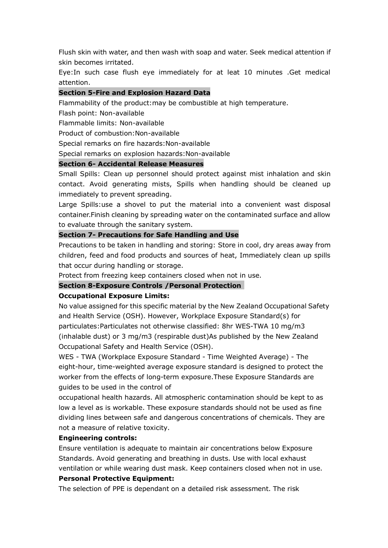Flush skin with water, and then wash with soap and water. Seek medical attention if skin becomes irritated.

Eye:In such case flush eye immediately for at leat 10 minutes .Get medical attention.

### **Section 5-Fire and Explosion Hazard Data**

Flammability of the product:may be combustible at high temperature.

Flash point: Non-available

Flammable limits: Non-available

Product of combustion:Non-available

Special remarks on fire hazards:Non-available

Special remarks on explosion hazards:Non-available

### **Section 6- Accidental Release Measures**

Small Spills: Clean up personnel should protect against mist inhalation and skin contact. Avoid generating mists, Spills when handling should be cleaned up immediately to prevent spreading.

Large Spills:use a shovel to put the material into a convenient wast disposal container.Finish cleaning by spreading water on the contaminated surface and allow to evaluate through the sanitary system.

### **Section 7- Precautions for Safe Handling and Use**

Precautions to be taken in handling and storing: Store in cool, dry areas away from children, feed and food products and sources of heat, Immediately clean up spills that occur during handling or storage.

Protect from freezing keep containers closed when not in use.

#### **Section 8-Exposure Controls /Personal Protection**

#### **Occupational Exposure Limits:**

No value assigned for this specific material by the New Zealand Occupational Safety and Health Service (OSH). However, Workplace Exposure Standard(s) for particulates:Particulates not otherwise classified: 8hr WES-TWA 10 mg/m3 (inhalable dust) or 3 mg/m3 (respirable dust)As published by the New Zealand Occupational Safety and Health Service (OSH).

WES - TWA (Workplace Exposure Standard - Time Weighted Average) - The eight-hour, time-weighted average exposure standard is designed to protect the worker from the effects of long-term exposure.These Exposure Standards are guides to be used in the control of

occupational health hazards. All atmospheric contamination should be kept to as low a level as is workable. These exposure standards should not be used as fine dividing lines between safe and dangerous concentrations of chemicals. They are not a measure of relative toxicity.

#### **Engineering controls:**

Ensure ventilation is adequate to maintain air concentrations below Exposure Standards. Avoid generating and breathing in dusts. Use with local exhaust ventilation or while wearing dust mask. Keep containers closed when not in use.

# **Personal Protective Equipment:**

The selection of PPE is dependant on a detailed risk assessment. The risk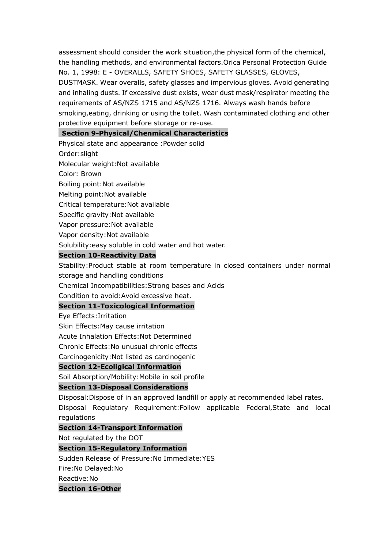assessment should consider the work situation,the physical form of the chemical, the handling methods, and environmental factors.Orica Personal Protection Guide No. 1, 1998: E - OVERALLS, SAFETY SHOES, SAFETY GLASSES, GLOVES, DUSTMASK. Wear overalls, safety glasses and impervious gloves. Avoid generating and inhaling dusts. If excessive dust exists, wear dust mask/respirator meeting the requirements of AS/NZS 1715 and AS/NZS 1716. Always wash hands before smoking,eating, drinking or using the toilet. Wash contaminated clothing and other

protective equipment before storage or re-use.

### **Section 9-Physical/Chenmical Characteristics**

Physical state and appearance :Powder solid

Order:slight

Molecular weight:Not available

Color: Brown

Boiling point:Not available

Melting point:Not available

Critical temperature:Not available

Specific gravity:Not available

Vapor pressure:Not available

Vapor density:Not available

Solubility:easy soluble in cold water and hot water.

### **Section 10-Reactivity Data**

Stability:Product stable at room temperature in closed containers under normal storage and handling conditions

Chemical Incompatibilities:Strong bases and Acids

Condition to avoid:Avoid excessive heat.

# **Section 11-Toxicological Information**

Eye Effects:Irritation

Skin Effects:May cause irritation

Acute Inhalation Effects:Not Determined

Chronic Effects:No unusual chronic effects

Carcinogenicity:Not listed as carcinogenic

# **Section 12-Ecoligical Information**

Soil Absorption/Mobility:Mobile in soil profile

# **Section 13-Disposal Considerations**

Disposal:Dispose of in an approved landfill or apply at recommended label rates. Disposal Regulatory Requirement:Follow applicable Federal,State and local regulations

# **Section 14-Transport Information**

Not regulated by the DOT

# **Section 15-Regulatory Information**

Sudden Release of Pressure:No Immediate:YES

Fire:No Delayed:No

Reactive:No

#### **Section 16-Other**